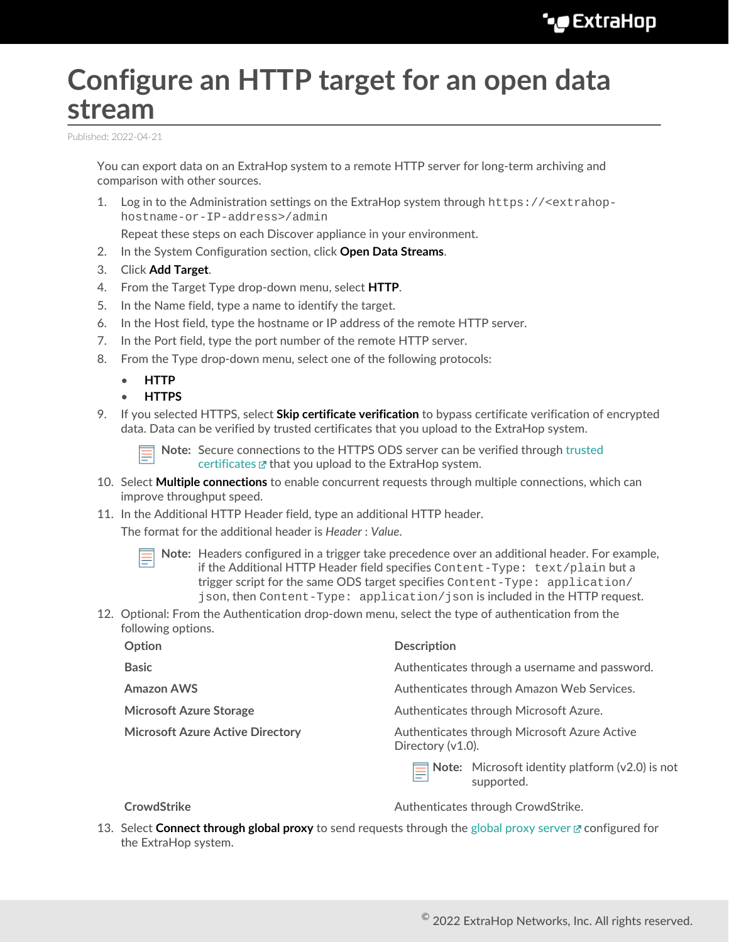# **Configure an HTTP target for an open data stream**

Published: 2022-04-21

You can export data on an ExtraHop system to a remote HTTP server for long-term archiving and comparison with other sources.

1. Log in to the Administration settings on the ExtraHop system through https://<extrahophostname-or-IP-address>/admin

Repeat these steps on each Discover appliance in your environment.

- 2. In the System Configuration section, click **Open Data Streams**.
- 3. Click **Add Target**.
- 4. From the Target Type drop-down menu, select **HTTP**.
- 5. In the Name field, type a name to identify the target.
- 6. In the Host field, type the hostname or IP address of the remote HTTP server.
- 7. In the Port field, type the port number of the remote HTTP server.
- 8. From the Type drop-down menu, select one of the following protocols:
	- **HTTP**
	- **HTTPS**
- 9. If you selected HTTPS, select **Skip certificate verification** to bypass certificate verification of encrypted data. Data can be verified by trusted certificates that you upload to the ExtraHop system.

**Note:** Secure connections to the HTTPS ODS server can be verified through [trusted](https://docs.extrahop.com/8.9/trusted-certificate) [certificates](https://docs.extrahop.com/8.9/trusted-certificate)  $\mathbb F$  that you upload to the ExtraHop system.

- 10. Select **Multiple connections** to enable concurrent requests through multiple connections, which can improve throughput speed.
- 11. In the Additional HTTP Header field, type an additional HTTP header.

The format for the additional header is *Header* : *Value*.

- **Note:** Headers configured in a trigger take precedence over an additional header. For example, if the Additional HTTP Header field specifies Content-Type: text/plain but a trigger script for the same ODS target specifies Content-Type: application/ json, then Content-Type: application/json is included in the HTTP request.
- 12. Optional: From the Authentication drop-down menu, select the type of authentication from the following options.

| Option                                  | <b>Description</b>                                                   |
|-----------------------------------------|----------------------------------------------------------------------|
| <b>Basic</b>                            | Authenticates through a username and password.                       |
| <b>Amazon AWS</b>                       | Authenticates through Amazon Web Services.                           |
| <b>Microsoft Azure Storage</b>          | Authenticates through Microsoft Azure.                               |
| <b>Microsoft Azure Active Directory</b> | Authenticates through Microsoft Azure Active<br>Directory $(v1.0)$ . |
|                                         | Note: Microsoft identity platform (v2.0) is not<br>supported.        |
|                                         |                                                                      |

**CrowdStrike** Crowser CrowdStrike.

13. Select **Connect through global proxy** to send requests through the [global proxy server](https://docs.extrahop.com/8.9/eta-admin-ui-guide/#global-proxy-server) **F** configured for the ExtraHop system.